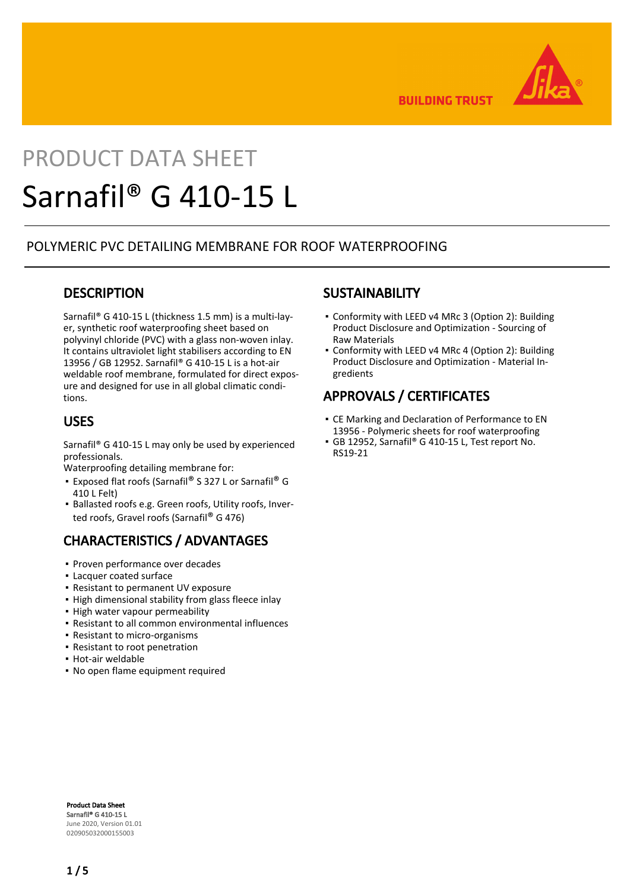

**BUILDING TRUST** 

# PRODUCT DATA SHEET Sarnafil® G 410-15 L

### POLYMERIC PVC DETAILING MEMBRANE FOR ROOF WATERPROOFING

### **DESCRIPTION**

Sarnafil® G 410-15 L (thickness 1.5 mm) is a multi-layer, synthetic roof waterproofing sheet based on polyvinyl chloride (PVC) with a glass non-woven inlay. It contains ultraviolet light stabilisers according to EN 13956 / GB 12952. Sarnafil® G 410-15 L is a hot-air weldable roof membrane, formulated for direct exposure and designed for use in all global climatic conditions.

### USES

Sarnafil® G 410-15 L may only be used by experienced professionals.

Waterproofing detailing membrane for:

- Exposed flat roofs (Sarnafil® S 327 L or Sarnafil® G 410 L Felt)
- **Ballasted roofs e.g. Green roofs, Utility roofs, Inver**ted roofs, Gravel roofs (Sarnafil® G 476)

# CHARACTERISTICS / ADVANTAGES

- Proven performance over decades
- Lacquer coated surface
- Resistant to permanent UV exposure
- **.** High dimensional stability from glass fleece inlay
- High water vapour permeability
- Resistant to all common environmental influences
- Resistant to micro-organisms
- Resistant to root penetration
- Hot-air weldable
- No open flame equipment required

### **SUSTAINABILITY**

- Conformity with LEED v4 MRc 3 (Option 2): Building Product Disclosure and Optimization - Sourcing of Raw Materials
- Conformity with LEED v4 MRc 4 (Option 2): Building Product Disclosure and Optimization - Material Ingredients

# APPROVALS / CERTIFICATES

- CE Marking and Declaration of Performance to EN 13956 - Polymeric sheets for roof waterproofing
- GB 12952, Sarnafil® G 410-15 L, Test report No. RS19-21

Product Data Sheet Sarnafil® G 410-15 L June 2020, Version 01.01 020905032000155003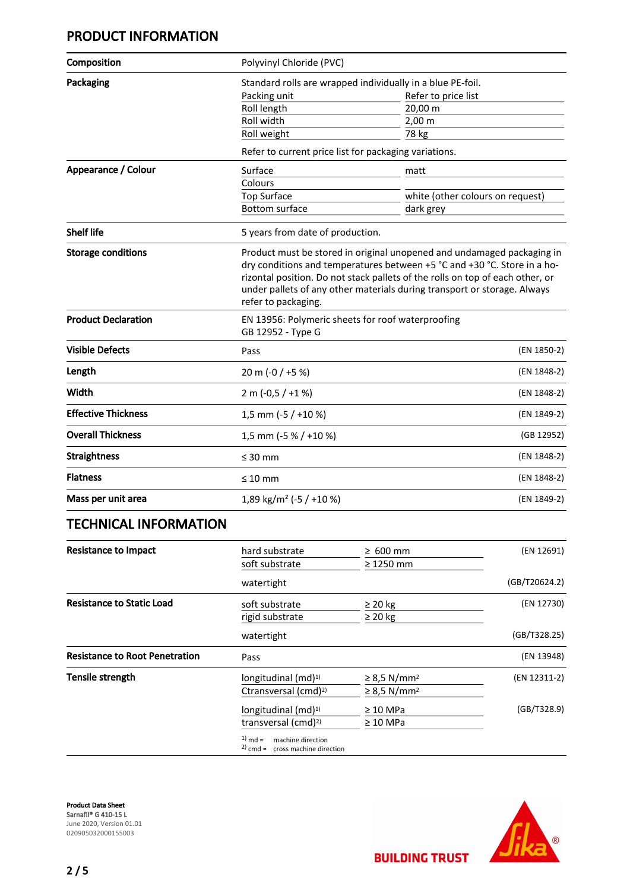# PRODUCT INFORMATION

| Composition                | Polyvinyl Chloride (PVC)                                                                                                                                                                                                                                     |                                  |  |  |
|----------------------------|--------------------------------------------------------------------------------------------------------------------------------------------------------------------------------------------------------------------------------------------------------------|----------------------------------|--|--|
| Packaging                  | Standard rolls are wrapped individually in a blue PE-foil.                                                                                                                                                                                                   |                                  |  |  |
|                            | Packing unit                                                                                                                                                                                                                                                 | Refer to price list              |  |  |
|                            | Roll length                                                                                                                                                                                                                                                  | 20,00 m                          |  |  |
|                            | Roll width                                                                                                                                                                                                                                                   | 2,00 m                           |  |  |
|                            | Roll weight                                                                                                                                                                                                                                                  | 78 kg                            |  |  |
|                            | Refer to current price list for packaging variations.                                                                                                                                                                                                        |                                  |  |  |
| Appearance / Colour        | Surface                                                                                                                                                                                                                                                      | matt                             |  |  |
|                            | Colours                                                                                                                                                                                                                                                      |                                  |  |  |
|                            | <b>Top Surface</b>                                                                                                                                                                                                                                           | white (other colours on request) |  |  |
|                            | <b>Bottom surface</b>                                                                                                                                                                                                                                        | dark grey                        |  |  |
| <b>Shelf life</b>          | 5 years from date of production.                                                                                                                                                                                                                             |                                  |  |  |
|                            | dry conditions and temperatures between +5 °C and +30 °C. Store in a ho-<br>rizontal position. Do not stack pallets of the rolls on top of each other, or<br>under pallets of any other materials during transport or storage. Always<br>refer to packaging. |                                  |  |  |
| <b>Product Declaration</b> | EN 13956: Polymeric sheets for roof waterproofing<br>GB 12952 - Type G                                                                                                                                                                                       |                                  |  |  |
| <b>Visible Defects</b>     | Pass                                                                                                                                                                                                                                                         | (EN 1850-2)                      |  |  |
| Length                     | 20 m (-0 / +5 %)                                                                                                                                                                                                                                             | (EN 1848-2)                      |  |  |
| Width                      | $2 m (-0.5 / +1%)$                                                                                                                                                                                                                                           | (EN 1848-2)                      |  |  |
| <b>Effective Thickness</b> | 1,5 mm (-5 / +10 %)                                                                                                                                                                                                                                          | (EN 1849-2)                      |  |  |
| <b>Overall Thickness</b>   | 1,5 mm (-5 % / +10 %)                                                                                                                                                                                                                                        | (GB 12952)                       |  |  |
| <b>Straightness</b>        | $\leq 30$ mm                                                                                                                                                                                                                                                 | (EN 1848-2)                      |  |  |
| <b>Flatness</b>            | $\leq 10$ mm                                                                                                                                                                                                                                                 | (EN 1848-2)                      |  |  |
| Mass per unit area         | 1,89 kg/m <sup>2</sup> (-5 / +10 %)                                                                                                                                                                                                                          | (EN 1849-2)                      |  |  |
|                            |                                                                                                                                                                                                                                                              |                                  |  |  |

# TECHNICAL INFORMATION

| <b>Resistance to Impact</b>           | hard substrate                                                          | $\geq 600$ mm                | (EN 12691)    |
|---------------------------------------|-------------------------------------------------------------------------|------------------------------|---------------|
|                                       | soft substrate                                                          | $\geq$ 1250 mm               |               |
|                                       | watertight                                                              |                              | (GB/T20624.2) |
| <b>Resistance to Static Load</b>      | soft substrate                                                          | $\geq$ 20 kg                 | (EN 12730)    |
|                                       | rigid substrate                                                         | $\geq$ 20 kg                 |               |
|                                       | watertight                                                              |                              | (GB/T328.25)  |
| <b>Resistance to Root Penetration</b> | Pass                                                                    |                              | (EN 13948)    |
| <b>Tensile strength</b>               | longitudinal $(md)^{1)}$                                                | $\geq$ 8,5 N/mm <sup>2</sup> | (EN 12311-2)  |
|                                       | Ctransversal (cmd) <sup>2)</sup>                                        | $\geq$ 8,5 N/mm <sup>2</sup> |               |
|                                       | longitudinal $(md)^{1}$                                                 | $\geq 10$ MPa                | (GB/T328.9)   |
|                                       | transversal (cmd) <sup>2)</sup>                                         | $\geq 10$ MPa                |               |
|                                       | $1)$ md =<br>machine direction<br>$^{2)}$ cmd = cross machine direction |                              |               |

Product Data Sheet Sarnafil® G 410-15 L June 2020, Version 01.01 020905032000155003



**BUILDING TRUST**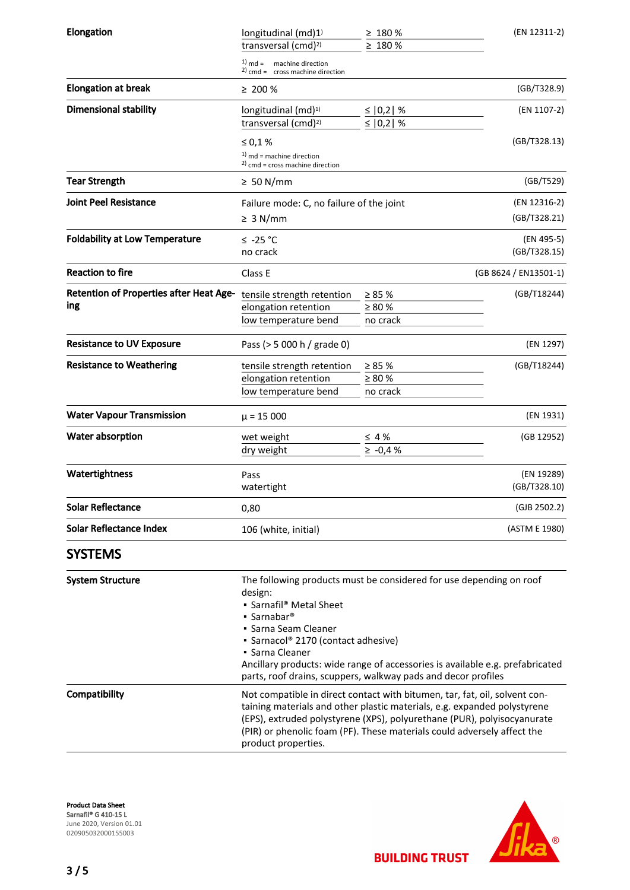| Elongation                                            | longitudinal $(md)1$<br>transversal (cmd) <sup>2)</sup>                                                                                                                                                                                                                                                                                                                               | $\geq 180 \%$<br>$\geq 180 \%$           | (EN 12311-2)               |  |
|-------------------------------------------------------|---------------------------------------------------------------------------------------------------------------------------------------------------------------------------------------------------------------------------------------------------------------------------------------------------------------------------------------------------------------------------------------|------------------------------------------|----------------------------|--|
|                                                       | $1)$ md =<br>machine direction<br>$2)$ cmd = cross machine direction                                                                                                                                                                                                                                                                                                                  |                                          |                            |  |
| <b>Elongation at break</b>                            | $\geq 200 \%$                                                                                                                                                                                                                                                                                                                                                                         |                                          | (GB/T328.9)                |  |
| <b>Dimensional stability</b>                          | longitudinal (md) <sup>1)</sup><br>transversal (cmd) <sup>2)</sup>                                                                                                                                                                                                                                                                                                                    | ≤   0,2   %<br>≤ $ 0,2 $ %               | (EN 1107-2)                |  |
|                                                       | ≤ 0,1 %                                                                                                                                                                                                                                                                                                                                                                               |                                          | (GB/T328.13)               |  |
|                                                       | $1)$ md = machine direction<br>$2)$ cmd = cross machine direction                                                                                                                                                                                                                                                                                                                     |                                          |                            |  |
| <b>Tear Strength</b>                                  | $\geq 50$ N/mm                                                                                                                                                                                                                                                                                                                                                                        |                                          | (GB/T529)                  |  |
| <b>Joint Peel Resistance</b>                          | Failure mode: C, no failure of the joint                                                                                                                                                                                                                                                                                                                                              |                                          | (EN 12316-2)               |  |
|                                                       | $\geq 3$ N/mm                                                                                                                                                                                                                                                                                                                                                                         |                                          | (GB/T328.21)               |  |
| <b>Foldability at Low Temperature</b>                 | $≤ -25 °C$<br>no crack                                                                                                                                                                                                                                                                                                                                                                |                                          | (EN 495-5)<br>(GB/T328.15) |  |
| <b>Reaction to fire</b>                               | Class E                                                                                                                                                                                                                                                                                                                                                                               |                                          | (GB 8624 / EN13501-1)      |  |
| <b>Retention of Properties after Heat Age-</b><br>ing | tensile strength retention<br>elongation retention<br>low temperature bend                                                                                                                                                                                                                                                                                                            | $\geq 85 \%$<br>$\geq 80 \%$<br>no crack | (GB/T18244)                |  |
| <b>Resistance to UV Exposure</b>                      | Pass (> 5 000 h / grade 0)                                                                                                                                                                                                                                                                                                                                                            |                                          | (EN 1297)                  |  |
| <b>Resistance to Weathering</b>                       | tensile strength retention<br>elongation retention<br>low temperature bend                                                                                                                                                                                                                                                                                                            | $\geq 85 \%$<br>$\geq 80 \%$<br>no crack | (GB/T18244)                |  |
| <b>Water Vapour Transmission</b>                      | $\mu$ = 15 000                                                                                                                                                                                                                                                                                                                                                                        |                                          | (EN 1931)                  |  |
| Water absorption                                      | wet weight<br>dry weight                                                                                                                                                                                                                                                                                                                                                              | $\leq 4\%$<br>$\ge -0.4%$                | (GB 12952)                 |  |
| Watertightness                                        | Pass<br>watertight                                                                                                                                                                                                                                                                                                                                                                    |                                          | (EN 19289)<br>(GB/T328.10) |  |
| <b>Solar Reflectance</b>                              | 0,80                                                                                                                                                                                                                                                                                                                                                                                  |                                          | (GJB 2502.2)               |  |
| <b>Solar Reflectance Index</b>                        | 106 (white, initial)                                                                                                                                                                                                                                                                                                                                                                  |                                          | (ASTM E 1980)              |  |
| <b>SYSTEMS</b>                                        |                                                                                                                                                                                                                                                                                                                                                                                       |                                          |                            |  |
| <b>System Structure</b>                               | The following products must be considered for use depending on roof<br>design:<br>• Sarnafil® Metal Sheet<br>$\blacksquare$ Sarnabar <sup>®</sup><br>• Sarna Seam Cleaner<br>• Sarnacol® 2170 (contact adhesive)<br>• Sarna Cleaner<br>Ancillary products: wide range of accessories is available e.g. prefabricated<br>parts, roof drains, scuppers, walkway pads and decor profiles |                                          |                            |  |
| Compatibility                                         | Not compatible in direct contact with bitumen, tar, fat, oil, solvent con-<br>taining materials and other plastic materials, e.g. expanded polystyrene<br>(EPS), extruded polystyrene (XPS), polyurethane (PUR), polyisocyanurate<br>(PIR) or phenolic foam (PF). These materials could adversely affect the<br>product properties.                                                   |                                          |                            |  |

Product Data Sheet Sarnafil® G 410-15 L June 2020, Version 01.01 020905032000155003

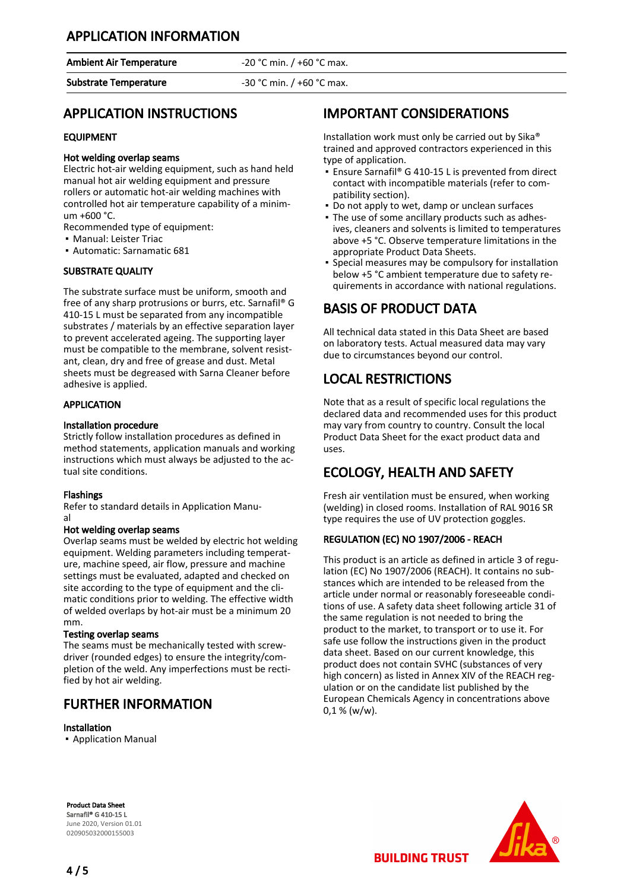# APPLICATION INFORMATION

Ambient Air Temperature **-20 °C** min. / +60 °C max.

Substrate Temperature -30 °C min. / +60 °C max.

### APPLICATION INSTRUCTIONS

#### EQUIPMENT

#### Hot welding overlap seams

Electric hot-air welding equipment, such as hand held manual hot air welding equipment and pressure rollers or automatic hot-air welding machines with controlled hot air temperature capability of a minimum +600 °C.

Recommended type of equipment:

- Manual: Leister Triac
- Automatic: Sarnamatic 681

#### SUBSTRATE QUALITY

The substrate surface must be uniform, smooth and free of any sharp protrusions or burrs, etc. Sarnafil® G 410-15 L must be separated from any incompatible substrates / materials by an effective separation layer to prevent accelerated ageing. The supporting layer must be compatible to the membrane, solvent resistant, clean, dry and free of grease and dust. Metal sheets must be degreased with Sarna Cleaner before adhesive is applied.

#### **APPLICATION**

#### Installation procedure

Strictly follow installation procedures as defined in method statements, application manuals and working instructions which must always be adjusted to the actual site conditions.

#### Flashings

Refer to standard details in Application Manual

#### Hot welding overlap seams

Overlap seams must be welded by electric hot welding equipment. Welding parameters including temperature, machine speed, air flow, pressure and machine settings must be evaluated, adapted and checked on site according to the type of equipment and the climatic conditions prior to welding. The effective width of welded overlaps by hot-air must be a minimum 20 mm.

#### Testing overlap seams

The seams must be mechanically tested with screwdriver (rounded edges) to ensure the integrity/completion of the weld. Any imperfections must be rectified by hot air welding.

### FURTHER INFORMATION

#### Installation

▪ Application Manual

# IMPORTANT CONSIDERATIONS

Installation work must only be carried out by Sika® trained and approved contractors experienced in this type of application.

- Ensure Sarnafil® G 410-15 L is prevented from direct contact with incompatible materials (refer to compatibility section).
- Do not apply to wet, damp or unclean surfaces
- The use of some ancillary products such as adhes-▪ ives, cleaners and solvents is limited to temperatures above +5 °C. Observe temperature limitations in the appropriate Product Data Sheets.
- **•** Special measures may be compulsory for installation below +5 °C ambient temperature due to safety requirements in accordance with national regulations.

# BASIS OF PRODUCT DATA

All technical data stated in this Data Sheet are based on laboratory tests. Actual measured data may vary due to circumstances beyond our control.

# LOCAL RESTRICTIONS

Note that as a result of specific local regulations the declared data and recommended uses for this product may vary from country to country. Consult the local Product Data Sheet for the exact product data and uses.

# ECOLOGY, HEALTH AND SAFETY

Fresh air ventilation must be ensured, when working (welding) in closed rooms. Installation of RAL 9016 SR type requires the use of UV protection goggles.

#### REGULATION (EC) NO 1907/2006 - REACH

This product is an article as defined in article 3 of regulation (EC) No 1907/2006 (REACH). It contains no substances which are intended to be released from the article under normal or reasonably foreseeable conditions of use. A safety data sheet following article 31 of the same regulation is not needed to bring the product to the market, to transport or to use it. For safe use follow the instructions given in the product data sheet. Based on our current knowledge, this product does not contain SVHC (substances of very high concern) as listed in Annex XIV of the REACH regulation or on the candidate list published by the European Chemicals Agency in concentrations above  $0,1 %$  (w/w).

Product Data Sheet Sarnafil® G 410-15 L June 2020, Version 01.01 020905032000155003



**BUILDING TRUST**